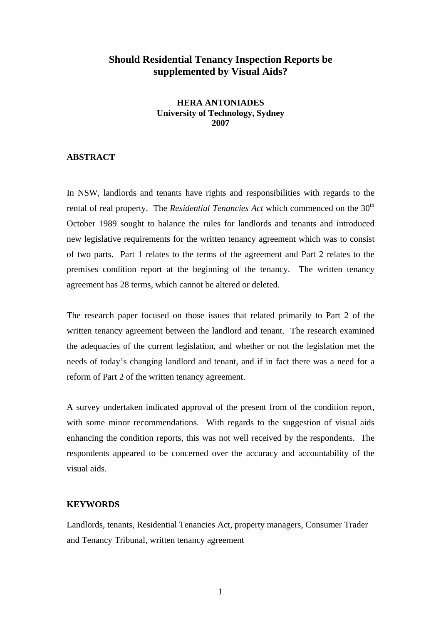## **Should Residential Tenancy Inspection Reports be supplemented by Visual Aids?**

## **HERA ANTONIADES University of Technology, Sydney 2007**

## **ABSTRACT**

In NSW, landlords and tenants have rights and responsibilities with regards to the rental of real property. The *Residential Tenancies Act* which commenced on the 30<sup>th</sup> October 1989 sought to balance the rules for landlords and tenants and introduced new legislative requirements for the written tenancy agreement which was to consist of two parts. Part 1 relates to the terms of the agreement and Part 2 relates to the premises condition report at the beginning of the tenancy. The written tenancy agreement has 28 terms, which cannot be altered or deleted.

The research paper focused on those issues that related primarily to Part 2 of the written tenancy agreement between the landlord and tenant. The research examined the adequacies of the current legislation, and whether or not the legislation met the needs of today's changing landlord and tenant, and if in fact there was a need for a reform of Part 2 of the written tenancy agreement.

A survey undertaken indicated approval of the present from of the condition report, with some minor recommendations. With regards to the suggestion of visual aids enhancing the condition reports, this was not well received by the respondents. The respondents appeared to be concerned over the accuracy and accountability of the visual aids.

## **KEYWORDS**

Landlords, tenants, Residential Tenancies Act, property managers, Consumer Trader and Tenancy Tribunal, written tenancy agreement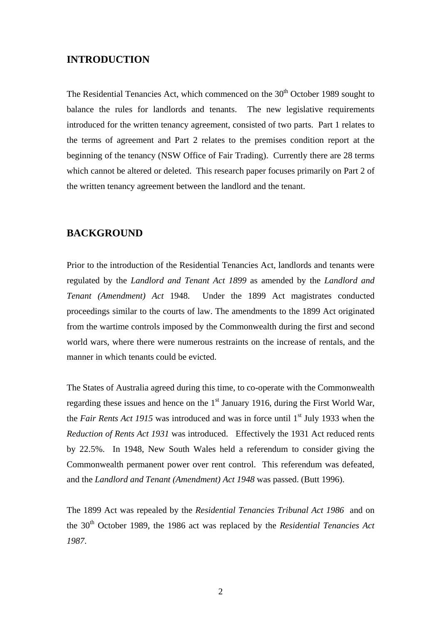## **INTRODUCTION**

The Residential Tenancies Act, which commenced on the  $30<sup>th</sup>$  October 1989 sought to balance the rules for landlords and tenants. The new legislative requirements introduced for the written tenancy agreement, consisted of two parts. Part 1 relates to the terms of agreement and Part 2 relates to the premises condition report at the beginning of the tenancy (NSW Office of Fair Trading). Currently there are 28 terms which cannot be altered or deleted. This research paper focuses primarily on Part 2 of the written tenancy agreement between the landlord and the tenant.

## **BACKGROUND**

Prior to the introduction of the Residential Tenancies Act, landlords and tenants were regulated by the *Landlord and Tenant Act 1899* as amended by the *Landlord and Tenant (Amendment) Act* 1948. Under the 1899 Act magistrates conducted proceedings similar to the courts of law. The amendments to the 1899 Act originated from the wartime controls imposed by the Commonwealth during the first and second world wars, where there were numerous restraints on the increase of rentals, and the manner in which tenants could be evicted.

The States of Australia agreed during this time, to co-operate with the Commonwealth regarding these issues and hence on the  $1<sup>st</sup>$  January 1916, during the First World War, the *Fair Rents Act 1915* was introduced and was in force until 1<sup>st</sup> July 1933 when the *Reduction of Rents Act 1931* was introduced. Effectively the 1931 Act reduced rents by 22.5%. In 1948, New South Wales held a referendum to consider giving the Commonwealth permanent power over rent control. This referendum was defeated, and the *Landlord and Tenant (Amendment) Act 1948* was passed. (Butt 1996).

The 1899 Act was repealed by the *Residential Tenancies Tribunal Act 1986* and on the 30th October 1989, the 1986 act was replaced by the *Residential Tenancies Act 1987*.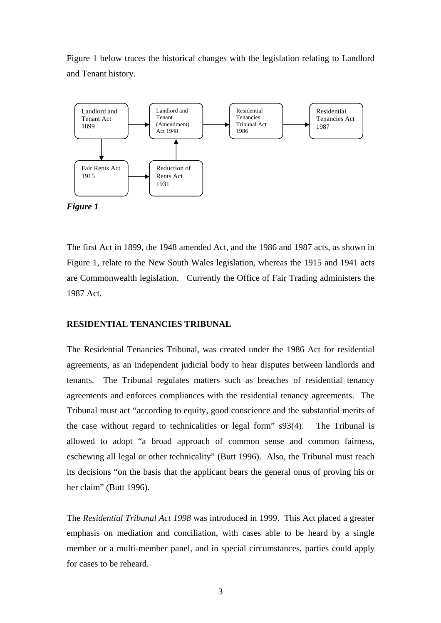Figure 1 below traces the historical changes with the legislation relating to Landlord and Tenant history.



*Figure 1* 

The first Act in 1899, the 1948 amended Act, and the 1986 and 1987 acts, as shown in Figure 1, relate to the New South Wales legislation, whereas the 1915 and 1941 acts are Commonwealth legislation. Currently the Office of Fair Trading administers the 1987 Act.

## **RESIDENTIAL TENANCIES TRIBUNAL**

The Residential Tenancies Tribunal, was created under the 1986 Act for residential agreements, as an independent judicial body to hear disputes between landlords and tenants. The Tribunal regulates matters such as breaches of residential tenancy agreements and enforces compliances with the residential tenancy agreements. The Tribunal must act "according to equity, good conscience and the substantial merits of the case without regard to technicalities or legal form" s93(4). The Tribunal is allowed to adopt "a broad approach of common sense and common fairness, eschewing all legal or other technicality" (Butt 1996). Also, the Tribunal must reach its decisions "on the basis that the applicant bears the general onus of proving his or her claim" (Butt 1996).

The *Residential Tribunal Act 1998* was introduced in 1999. This Act placed a greater emphasis on mediation and conciliation, with cases able to be heard by a single member or a multi-member panel, and in special circumstances, parties could apply for cases to be reheard.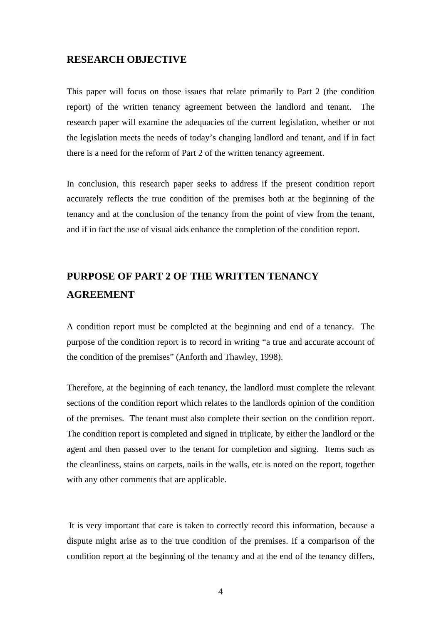## **RESEARCH OBJECTIVE**

This paper will focus on those issues that relate primarily to Part 2 (the condition report) of the written tenancy agreement between the landlord and tenant. The research paper will examine the adequacies of the current legislation, whether or not the legislation meets the needs of today's changing landlord and tenant, and if in fact there is a need for the reform of Part 2 of the written tenancy agreement.

In conclusion, this research paper seeks to address if the present condition report accurately reflects the true condition of the premises both at the beginning of the tenancy and at the conclusion of the tenancy from the point of view from the tenant, and if in fact the use of visual aids enhance the completion of the condition report.

# **PURPOSE OF PART 2 OF THE WRITTEN TENANCY AGREEMENT**

A condition report must be completed at the beginning and end of a tenancy. The purpose of the condition report is to record in writing "a true and accurate account of the condition of the premises" (Anforth and Thawley, 1998).

Therefore, at the beginning of each tenancy, the landlord must complete the relevant sections of the condition report which relates to the landlords opinion of the condition of the premises. The tenant must also complete their section on the condition report. The condition report is completed and signed in triplicate, by either the landlord or the agent and then passed over to the tenant for completion and signing. Items such as the cleanliness, stains on carpets, nails in the walls, etc is noted on the report, together with any other comments that are applicable.

 It is very important that care is taken to correctly record this information, because a dispute might arise as to the true condition of the premises. If a comparison of the condition report at the beginning of the tenancy and at the end of the tenancy differs,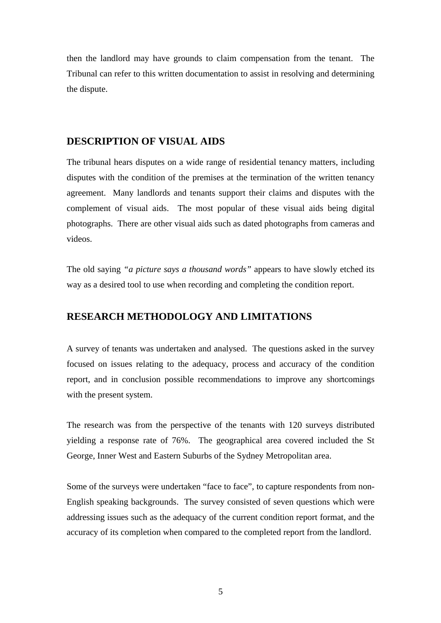then the landlord may have grounds to claim compensation from the tenant. The Tribunal can refer to this written documentation to assist in resolving and determining the dispute.

## **DESCRIPTION OF VISUAL AIDS**

The tribunal hears disputes on a wide range of residential tenancy matters, including disputes with the condition of the premises at the termination of the written tenancy agreement. Many landlords and tenants support their claims and disputes with the complement of visual aids. The most popular of these visual aids being digital photographs. There are other visual aids such as dated photographs from cameras and videos.

The old saying *"a picture says a thousand words"* appears to have slowly etched its way as a desired tool to use when recording and completing the condition report.

## **RESEARCH METHODOLOGY AND LIMITATIONS**

A survey of tenants was undertaken and analysed. The questions asked in the survey focused on issues relating to the adequacy, process and accuracy of the condition report, and in conclusion possible recommendations to improve any shortcomings with the present system.

The research was from the perspective of the tenants with 120 surveys distributed yielding a response rate of 76%. The geographical area covered included the St George, Inner West and Eastern Suburbs of the Sydney Metropolitan area.

Some of the surveys were undertaken "face to face", to capture respondents from non-English speaking backgrounds. The survey consisted of seven questions which were addressing issues such as the adequacy of the current condition report format, and the accuracy of its completion when compared to the completed report from the landlord.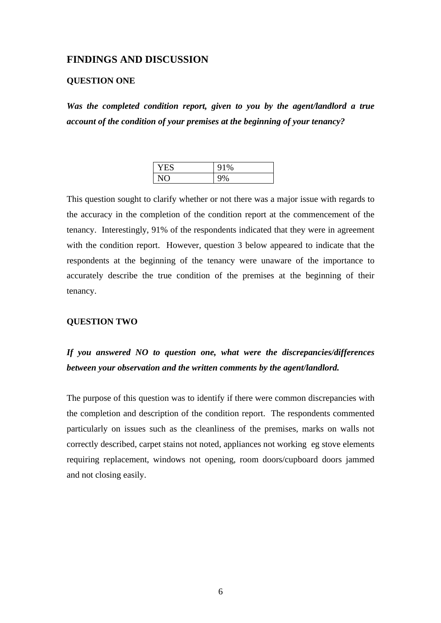## **FINDINGS AND DISCUSSION**

#### **QUESTION ONE**

*Was the completed condition report, given to you by the agent/landlord a true account of the condition of your premises at the beginning of your tenancy?* 

| - -<br>YE. | 91% |
|------------|-----|
|            |     |

This question sought to clarify whether or not there was a major issue with regards to the accuracy in the completion of the condition report at the commencement of the tenancy. Interestingly, 91% of the respondents indicated that they were in agreement with the condition report. However, question 3 below appeared to indicate that the respondents at the beginning of the tenancy were unaware of the importance to accurately describe the true condition of the premises at the beginning of their tenancy.

### **QUESTION TWO**

## *If you answered NO to question one, what were the discrepancies/differences between your observation and the written comments by the agent/landlord.*

The purpose of this question was to identify if there were common discrepancies with the completion and description of the condition report. The respondents commented particularly on issues such as the cleanliness of the premises, marks on walls not correctly described, carpet stains not noted, appliances not working eg stove elements requiring replacement, windows not opening, room doors/cupboard doors jammed and not closing easily.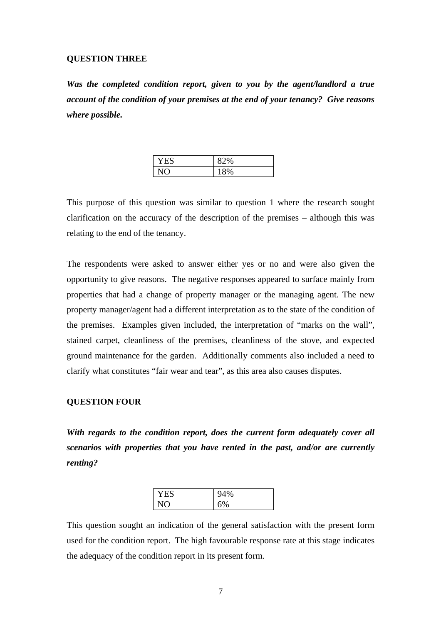### **QUESTION THREE**

*Was the completed condition report, given to you by the agent/landlord a true account of the condition of your premises at the end of your tenancy? Give reasons where possible.* 

| 2%    |
|-------|
| $8\%$ |

This purpose of this question was similar to question 1 where the research sought clarification on the accuracy of the description of the premises – although this was relating to the end of the tenancy.

The respondents were asked to answer either yes or no and were also given the opportunity to give reasons. The negative responses appeared to surface mainly from properties that had a change of property manager or the managing agent. The new property manager/agent had a different interpretation as to the state of the condition of the premises. Examples given included, the interpretation of "marks on the wall", stained carpet, cleanliness of the premises, cleanliness of the stove, and expected ground maintenance for the garden. Additionally comments also included a need to clarify what constitutes "fair wear and tear", as this area also causes disputes.

## **QUESTION FOUR**

*With regards to the condition report, does the current form adequately cover all scenarios with properties that you have rented in the past, and/or are currently renting?* 

| . ~ | $\sim$ |
|-----|--------|
| ┕   | 70     |
|     | 70     |

This question sought an indication of the general satisfaction with the present form used for the condition report. The high favourable response rate at this stage indicates the adequacy of the condition report in its present form.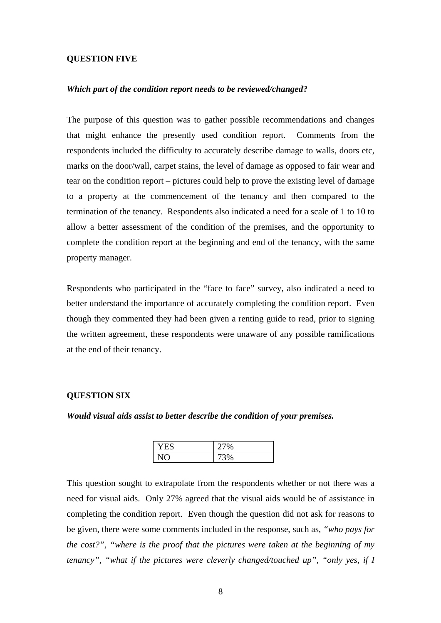### **QUESTION FIVE**

#### *Which part of the condition report needs to be reviewed/changed***?**

The purpose of this question was to gather possible recommendations and changes that might enhance the presently used condition report. Comments from the respondents included the difficulty to accurately describe damage to walls, doors etc, marks on the door/wall, carpet stains, the level of damage as opposed to fair wear and tear on the condition report – pictures could help to prove the existing level of damage to a property at the commencement of the tenancy and then compared to the termination of the tenancy. Respondents also indicated a need for a scale of 1 to 10 to allow a better assessment of the condition of the premises, and the opportunity to complete the condition report at the beginning and end of the tenancy, with the same property manager.

Respondents who participated in the "face to face" survey, also indicated a need to better understand the importance of accurately completing the condition report. Even though they commented they had been given a renting guide to read, prior to signing the written agreement, these respondents were unaware of any possible ramifications at the end of their tenancy.

### **QUESTION SIX**

*Would visual aids assist to better describe the condition of your premises.* 

| $\sim$<br>$\%$        |
|-----------------------|
| $\sim$ $\prime$<br>70 |

This question sought to extrapolate from the respondents whether or not there was a need for visual aids. Only 27% agreed that the visual aids would be of assistance in completing the condition report. Even though the question did not ask for reasons to be given, there were some comments included in the response, such as, *"who pays for the cost?", "where is the proof that the pictures were taken at the beginning of my tenancy", "what if the pictures were cleverly changed/touched up", "only yes, if I*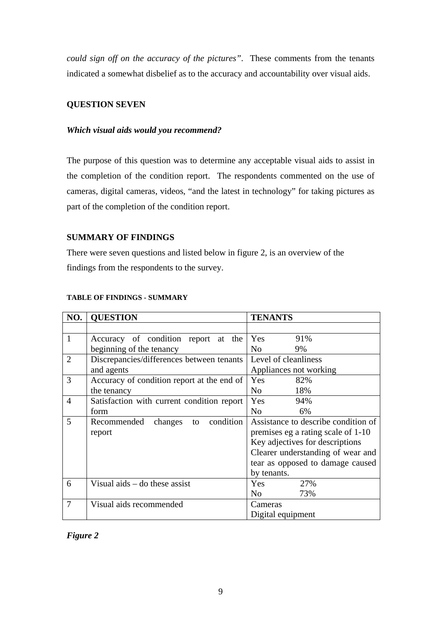*could sign off on the accuracy of the pictures"*. These comments from the tenants indicated a somewhat disbelief as to the accuracy and accountability over visual aids.

## **QUESTION SEVEN**

## *Which visual aids would you recommend?*

The purpose of this question was to determine any acceptable visual aids to assist in the completion of the condition report. The respondents commented on the use of cameras, digital cameras, videos, "and the latest in technology" for taking pictures as part of the completion of the condition report.

## **SUMMARY OF FINDINGS**

There were seven questions and listed below in figure 2, is an overview of the findings from the respondents to the survey.

| NO.            | <b>QUESTION</b>                            | <b>TENANTS</b>                      |
|----------------|--------------------------------------------|-------------------------------------|
|                |                                            |                                     |
| 1              | Accuracy of condition report at the        | 91%<br>Yes                          |
|                | beginning of the tenancy                   | N <sub>o</sub><br>9%                |
| $\overline{2}$ | Discrepancies/differences between tenants  | Level of cleanliness                |
|                | and agents                                 | Appliances not working              |
| 3              | Accuracy of condition report at the end of | Yes<br>82%                          |
|                | the tenancy                                | No.<br>18%                          |
| 4              | Satisfaction with current condition report | <b>Yes</b><br>94%                   |
|                | form                                       | N <sub>0</sub><br>6%                |
| 5              | condition<br>changes<br>Recommended<br>to  | Assistance to describe condition of |
|                | report                                     | premises eg a rating scale of 1-10  |
|                |                                            | Key adjectives for descriptions     |
|                |                                            | Clearer understanding of wear and   |
|                |                                            | tear as opposed to damage caused    |
|                |                                            | by tenants.                         |
| 6              | Visual aids $-$ do these assist            | Yes<br>27%                          |
|                |                                            | N <sub>0</sub><br>73%               |
| $\tau$         | Visual aids recommended                    | Cameras                             |
|                |                                            | Digital equipment                   |

## **TABLE OF FINDINGS - SUMMARY**

## *Figure 2*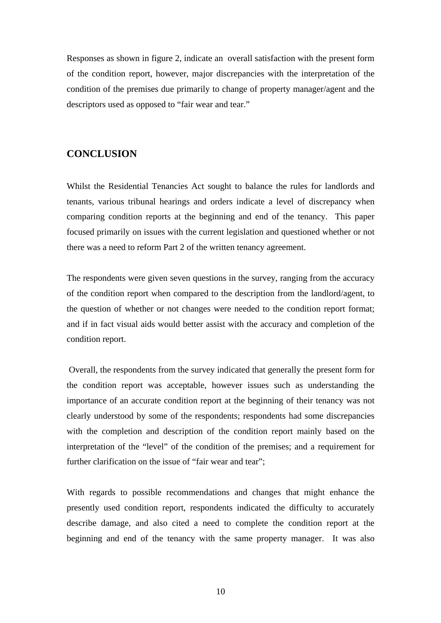Responses as shown in figure 2, indicate an overall satisfaction with the present form of the condition report, however, major discrepancies with the interpretation of the condition of the premises due primarily to change of property manager/agent and the descriptors used as opposed to "fair wear and tear."

## **CONCLUSION**

Whilst the Residential Tenancies Act sought to balance the rules for landlords and tenants, various tribunal hearings and orders indicate a level of discrepancy when comparing condition reports at the beginning and end of the tenancy. This paper focused primarily on issues with the current legislation and questioned whether or not there was a need to reform Part 2 of the written tenancy agreement.

The respondents were given seven questions in the survey, ranging from the accuracy of the condition report when compared to the description from the landlord/agent, to the question of whether or not changes were needed to the condition report format; and if in fact visual aids would better assist with the accuracy and completion of the condition report.

 Overall, the respondents from the survey indicated that generally the present form for the condition report was acceptable, however issues such as understanding the importance of an accurate condition report at the beginning of their tenancy was not clearly understood by some of the respondents; respondents had some discrepancies with the completion and description of the condition report mainly based on the interpretation of the "level" of the condition of the premises; and a requirement for further clarification on the issue of "fair wear and tear";

With regards to possible recommendations and changes that might enhance the presently used condition report, respondents indicated the difficulty to accurately describe damage, and also cited a need to complete the condition report at the beginning and end of the tenancy with the same property manager. It was also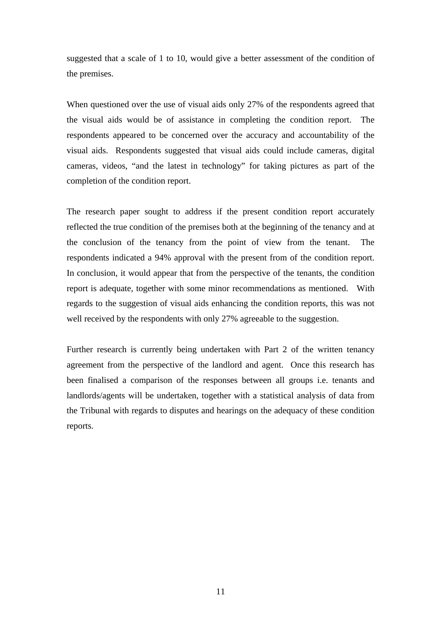suggested that a scale of 1 to 10, would give a better assessment of the condition of the premises.

When questioned over the use of visual aids only 27% of the respondents agreed that the visual aids would be of assistance in completing the condition report. The respondents appeared to be concerned over the accuracy and accountability of the visual aids. Respondents suggested that visual aids could include cameras, digital cameras, videos, "and the latest in technology" for taking pictures as part of the completion of the condition report.

The research paper sought to address if the present condition report accurately reflected the true condition of the premises both at the beginning of the tenancy and at the conclusion of the tenancy from the point of view from the tenant. The respondents indicated a 94% approval with the present from of the condition report. In conclusion, it would appear that from the perspective of the tenants, the condition report is adequate, together with some minor recommendations as mentioned. With regards to the suggestion of visual aids enhancing the condition reports, this was not well received by the respondents with only 27% agreeable to the suggestion.

Further research is currently being undertaken with Part 2 of the written tenancy agreement from the perspective of the landlord and agent. Once this research has been finalised a comparison of the responses between all groups i.e. tenants and landlords/agents will be undertaken, together with a statistical analysis of data from the Tribunal with regards to disputes and hearings on the adequacy of these condition reports.